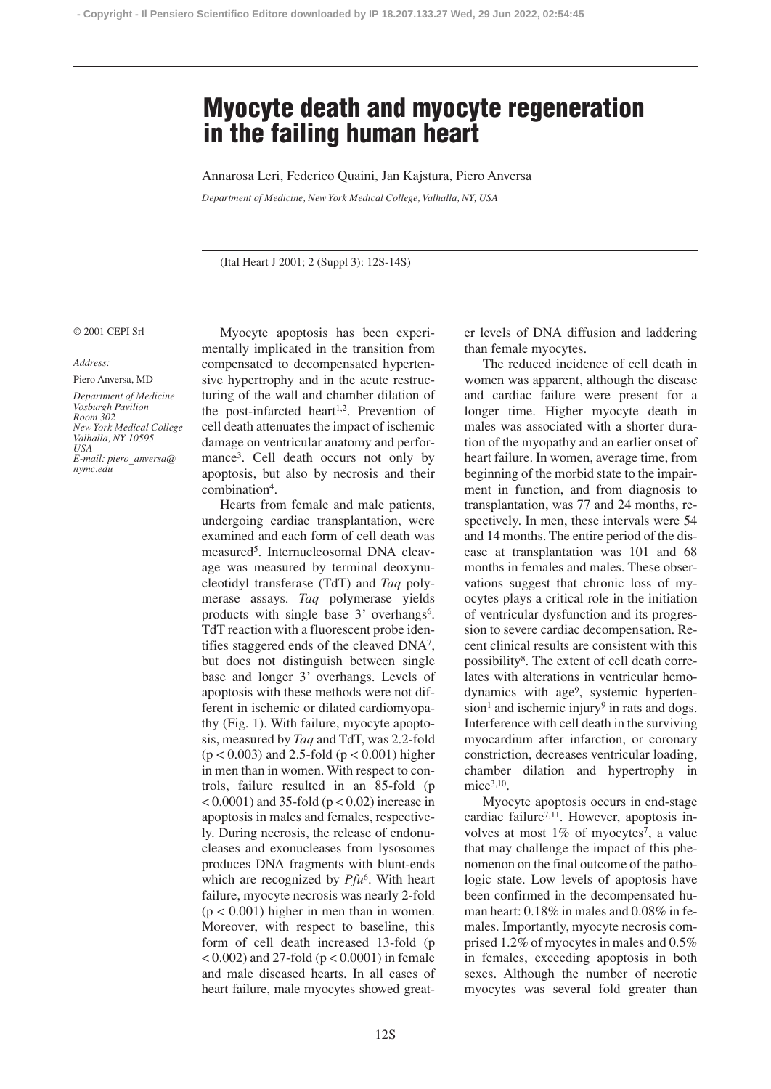## **Myocyte death and myocyte regeneration in the failing human heart**

Annarosa Leri, Federico Quaini, Jan Kajstura, Piero Anversa

*Department of Medicine, New York Medical College, Valhalla, NY, USA*

(Ital Heart J 2001; 2 (Suppl 3): 12S-14S)

## © 2001 CEPI Srl

## *Address:*

Piero Anversa, MD *Department of Medicine Vosburgh Pavilion Room 302 New York Medical College Valhalla, NY 10595 USA E-mail: piero\_anversa@ nymc.edu*

Myocyte apoptosis has been experimentally implicated in the transition from compensated to decompensated hypertensive hypertrophy and in the acute restructuring of the wall and chamber dilation of the post-infarcted heart<sup>1,2</sup>. Prevention of cell death attenuates the impact of ischemic damage on ventricular anatomy and performance3. Cell death occurs not only by apoptosis, but also by necrosis and their combination4.

Hearts from female and male patients, undergoing cardiac transplantation, were examined and each form of cell death was measured5. Internucleosomal DNA cleavage was measured by terminal deoxynucleotidyl transferase (TdT) and *Taq* polymerase assays. *Taq* polymerase yields products with single base 3' overhangs<sup>6</sup>. TdT reaction with a fluorescent probe identifies staggered ends of the cleaved DNA7, but does not distinguish between single base and longer 3' overhangs. Levels of apoptosis with these methods were not different in ischemic or dilated cardiomyopathy (Fig. 1). With failure, myocyte apoptosis, measured by *Taq* and TdT, was 2.2-fold  $(p < 0.003)$  and 2.5-fold  $(p < 0.001)$  higher in men than in women. With respect to controls, failure resulted in an 85-fold (p  $< 0.0001$ ) and 35-fold ( $p < 0.02$ ) increase in apoptosis in males and females, respectively. During necrosis, the release of endonucleases and exonucleases from lysosomes produces DNA fragments with blunt-ends which are recognized by *Pfu*6. With heart failure, myocyte necrosis was nearly 2-fold  $(p < 0.001)$  higher in men than in women. Moreover, with respect to baseline, this form of cell death increased 13-fold (p  $(0.002)$  and 27-fold ( $p < 0.0001$ ) in female and male diseased hearts. In all cases of heart failure, male myocytes showed greater levels of DNA diffusion and laddering than female myocytes.

The reduced incidence of cell death in women was apparent, although the disease and cardiac failure were present for a longer time. Higher myocyte death in males was associated with a shorter duration of the myopathy and an earlier onset of heart failure. In women, average time, from beginning of the morbid state to the impairment in function, and from diagnosis to transplantation, was 77 and 24 months, respectively. In men, these intervals were 54 and 14 months. The entire period of the disease at transplantation was 101 and 68 months in females and males. These observations suggest that chronic loss of myocytes plays a critical role in the initiation of ventricular dysfunction and its progression to severe cardiac decompensation. Recent clinical results are consistent with this possibility8. The extent of cell death correlates with alterations in ventricular hemodynamics with age9, systemic hypertension<sup>1</sup> and ischemic injury<sup>9</sup> in rats and dogs. Interference with cell death in the surviving myocardium after infarction, or coronary constriction, decreases ventricular loading, chamber dilation and hypertrophy in  $mice<sup>3,10</sup>$ .

Myocyte apoptosis occurs in end-stage cardiac failure<sup>7,11</sup>. However, apoptosis involves at most  $1\%$  of myocytes<sup>7</sup>, a value that may challenge the impact of this phenomenon on the final outcome of the pathologic state. Low levels of apoptosis have been confirmed in the decompensated human heart: 0.18% in males and 0.08% in females. Importantly, myocyte necrosis comprised 1.2% of myocytes in males and 0.5% in females, exceeding apoptosis in both sexes. Although the number of necrotic myocytes was several fold greater than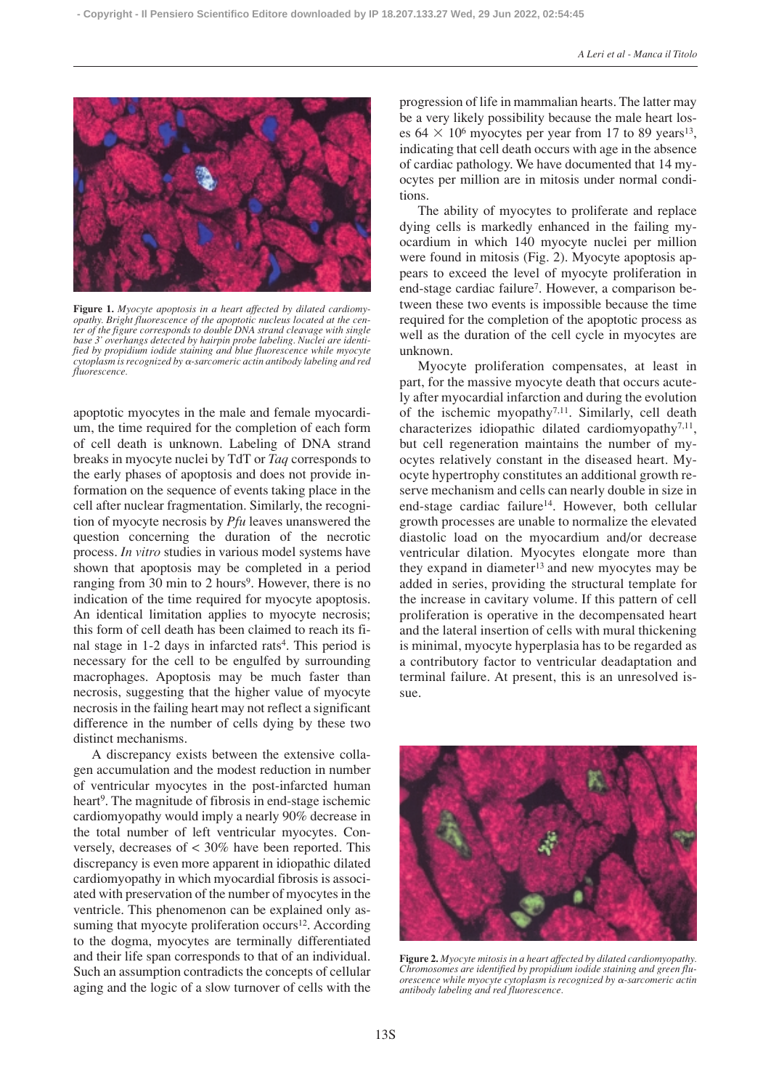

**Figure 1.** *Myocyte apoptosis in a heart affected by dilated cardiomyopathy. Bright fluorescence of the apoptotic nucleus located at the center of the figure corresponds to double DNA strand cleavage with single* <sup>2</sup> 3' overhangs detected by hairpin probe labeling. Nuclei are identi*fied by propidium iodide staining and blue fluorescence while myocyte cytoplasm is recognized by -sarcomeric actin antibody labeling and red fluorescence.*

apoptotic myocytes in the male and female myocardium, the time required for the completion of each form of cell death is unknown. Labeling of DNA strand breaks in myocyte nuclei by TdT or *Taq* corresponds to the early phases of apoptosis and does not provide information on the sequence of events taking place in the cell after nuclear fragmentation. Similarly, the recognition of myocyte necrosis by *Pfu* leaves unanswered the question concerning the duration of the necrotic process. *In vitro* studies in various model systems have shown that apoptosis may be completed in a period ranging from 30 min to 2 hours<sup>9</sup>. However, there is no indication of the time required for myocyte apoptosis. An identical limitation applies to myocyte necrosis; this form of cell death has been claimed to reach its final stage in 1-2 days in infarcted rats<sup>4</sup>. This period is necessary for the cell to be engulfed by surrounding macrophages. Apoptosis may be much faster than necrosis, suggesting that the higher value of myocyte necrosis in the failing heart may not reflect a significant difference in the number of cells dying by these two distinct mechanisms.

A discrepancy exists between the extensive collagen accumulation and the modest reduction in number of ventricular myocytes in the post-infarcted human heart<sup>9</sup>. The magnitude of fibrosis in end-stage ischemic cardiomyopathy would imply a nearly 90% decrease in the total number of left ventricular myocytes. Conversely, decreases of < 30% have been reported. This discrepancy is even more apparent in idiopathic dilated cardiomyopathy in which myocardial fibrosis is associated with preservation of the number of myocytes in the ventricle. This phenomenon can be explained only assuming that myocyte proliferation occurs<sup>12</sup>. According to the dogma, myocytes are terminally differentiated and their life span corresponds to that of an individual. Such an assumption contradicts the concepts of cellular aging and the logic of a slow turnover of cells with the progression of life in mammalian hearts. The latter may be a very likely possibility because the male heart loses  $64 \times 10^6$  myocytes per year from 17 to 89 years<sup>13</sup>, indicating that cell death occurs with age in the absence of cardiac pathology. We have documented that 14 myocytes per million are in mitosis under normal conditions.

The ability of myocytes to proliferate and replace dying cells is markedly enhanced in the failing myocardium in which 140 myocyte nuclei per million were found in mitosis (Fig. 2). Myocyte apoptosis appears to exceed the level of myocyte proliferation in end-stage cardiac failure<sup>7</sup>. However, a comparison between these two events is impossible because the time required for the completion of the apoptotic process as well as the duration of the cell cycle in myocytes are unknown.

Myocyte proliferation compensates, at least in part, for the massive myocyte death that occurs acutely after myocardial infarction and during the evolution of the ischemic myopathy<sup>7,11</sup>. Similarly, cell death characterizes idiopathic dilated cardiomyopathy<sup>7,11</sup>, but cell regeneration maintains the number of myocytes relatively constant in the diseased heart. Myocyte hypertrophy constitutes an additional growth reserve mechanism and cells can nearly double in size in end-stage cardiac failure<sup>14</sup>. However, both cellular growth processes are unable to normalize the elevated diastolic load on the myocardium and/or decrease ventricular dilation. Myocytes elongate more than they expand in diameter<sup>13</sup> and new myocytes may be added in series, providing the structural template for the increase in cavitary volume. If this pattern of cell proliferation is operative in the decompensated heart and the lateral insertion of cells with mural thickening is minimal, myocyte hyperplasia has to be regarded as a contributory factor to ventricular deadaptation and terminal failure. At present, this is an unresolved issue.



**Figure 2.** *Myocyte mitosis in a heart affected by dilated cardiomyopathy. Chromosomes are identified by propidium iodide staining and green fluorescence while myocyte cytoplasm is recognized by α-sarcomeric actin antibody labeling and red fluorescence.*